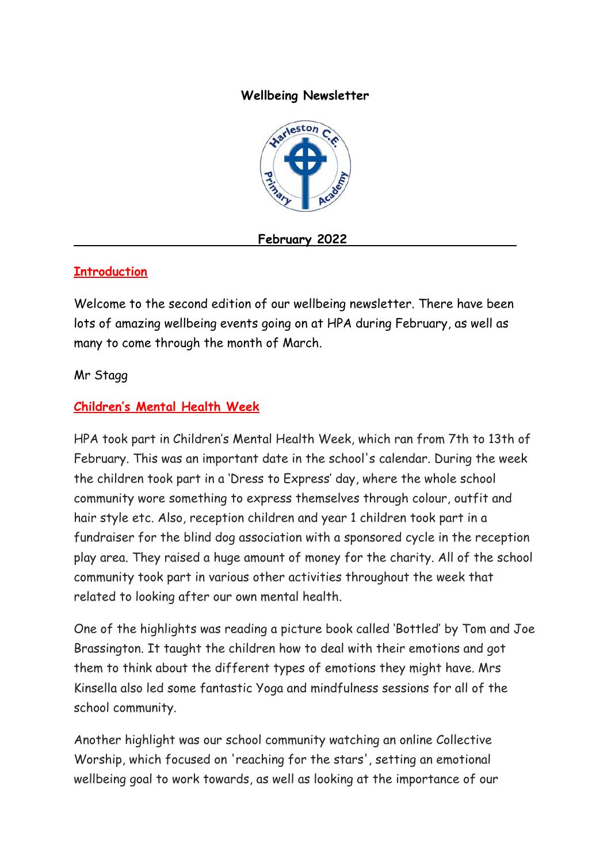#### **Wellbeing Newsletter**



**February 2022**

### **Introduction**

Welcome to the second edition of our wellbeing newsletter. There have been lots of amazing wellbeing events going on at HPA during February, as well as many to come through the month of March.

#### Mr Stagg

#### **Children's Mental Health Week**

HPA took part in Children's Mental Health Week, which ran from 7th to 13th of February. This was an important date in the school's calendar. During the week the children took part in a 'Dress to Express' day, where the whole school community wore something to express themselves through colour, outfit and hair style etc. Also, reception children and year 1 children took part in a fundraiser for the blind dog association with a sponsored cycle in the reception play area. They raised a huge amount of money for the charity. All of the school community took part in various other activities throughout the week that related to looking after our own mental health.

One of the highlights was reading a picture book called 'Bottled' by Tom and Joe Brassington. It taught the children how to deal with their emotions and got them to think about the different types of emotions they might have. Mrs Kinsella also led some fantastic Yoga and mindfulness sessions for all of the school community.

Another highlight was our school community watching an online Collective Worship, which focused on 'reaching for the stars', setting an emotional wellbeing goal to work towards, as well as looking at the importance of our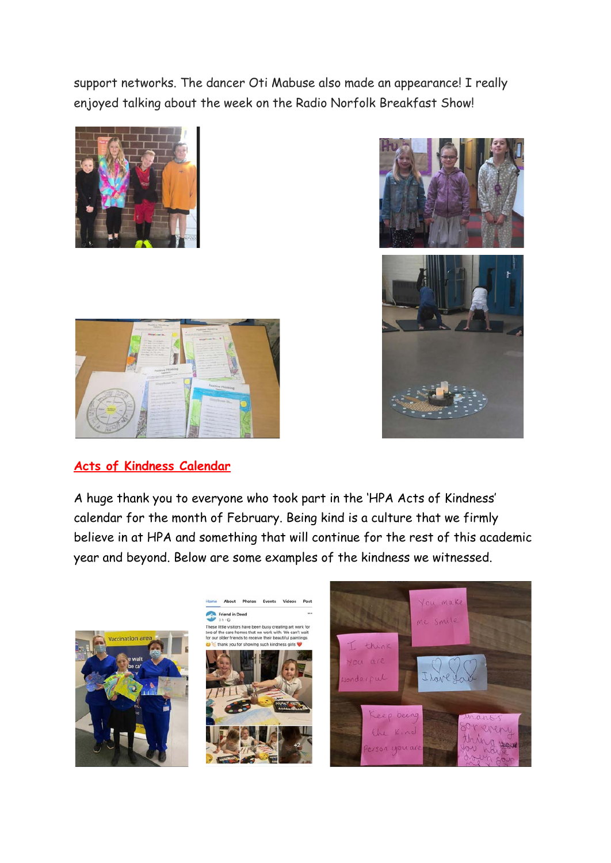support networks. The dancer Oti Mabuse also made an appearance! I really enjoyed talking about the week on the Radio Norfolk Breakfast Show!







## **Acts of Kindness Calendar**

A huge thank you to everyone who took part in the 'HPA Acts of Kindness' calendar for the month of February. Being kind is a culture that we firmly believe in at HPA and something that will continue for the rest of this academic year and beyond. Below are some examples of the kindness we witnessed.

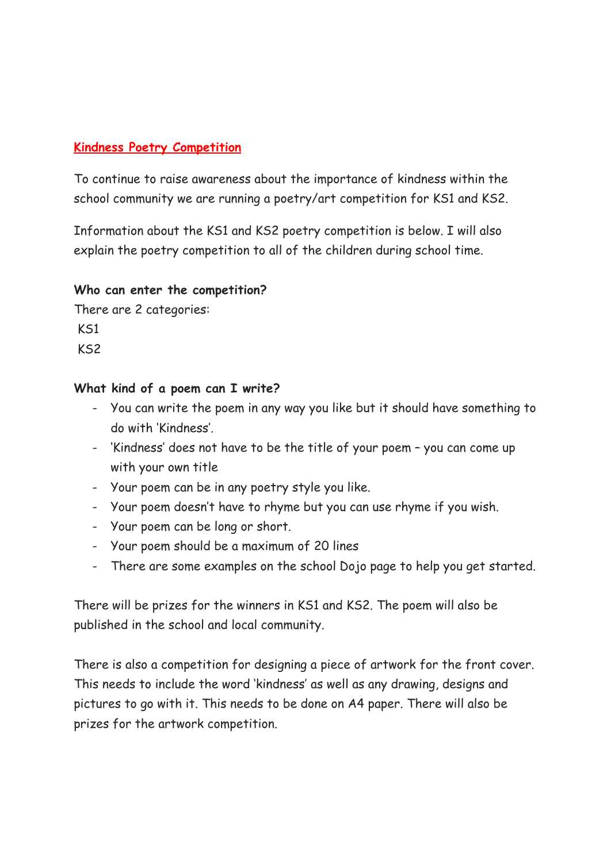### **Kindness Poetry Competition**

To continue to raise awareness about the importance of kindness within the school community we are running a poetry/art competition for KS1 and KS2.

Information about the KS1 and KS2 poetry competition is below. I will also explain the poetry competition to all of the children during school time.

#### **Who can enter the competition?**

There are 2 categories: KS1  $K<sub>S2</sub>$ 

#### **What kind of a poem can I write?**

- You can write the poem in any way you like but it should have something to do with 'Kindness'.
- 'Kindness' does not have to be the title of your poem you can come up with your own title
- Your poem can be in any poetry style you like.
- Your poem doesn't have to rhyme but you can use rhyme if you wish.
- Your poem can be long or short.
- Your poem should be a maximum of 20 lines
- There are some examples on the school Dojo page to help you get started.

There will be prizes for the winners in KS1 and KS2. The poem will also be published in the school and local community.

There is also a competition for designing a piece of artwork for the front cover. This needs to include the word 'kindness' as well as any drawing, designs and pictures to go with it. This needs to be done on A4 paper. There will also be prizes for the artwork competition.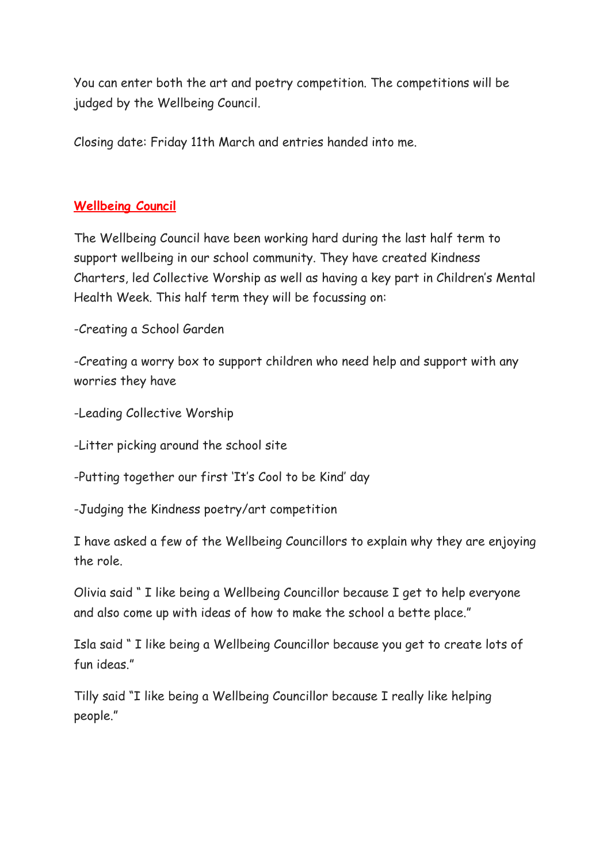You can enter both the art and poetry competition. The competitions will be judged by the Wellbeing Council.

Closing date: Friday 11th March and entries handed into me.

### **Wellbeing Council**

The Wellbeing Council have been working hard during the last half term to support wellbeing in our school community. They have created Kindness Charters, led Collective Worship as well as having a key part in Children's Mental Health Week. This half term they will be focussing on:

-Creating a School Garden

-Creating a worry box to support children who need help and support with any worries they have

-Leading Collective Worship

-Litter picking around the school site

-Putting together our first 'It's Cool to be Kind' day

-Judging the Kindness poetry/art competition

I have asked a few of the Wellbeing Councillors to explain why they are enjoying the role.

Olivia said " I like being a Wellbeing Councillor because I get to help everyone and also come up with ideas of how to make the school a bette place."

Isla said " I like being a Wellbeing Councillor because you get to create lots of fun ideas."

Tilly said "I like being a Wellbeing Councillor because I really like helping people."